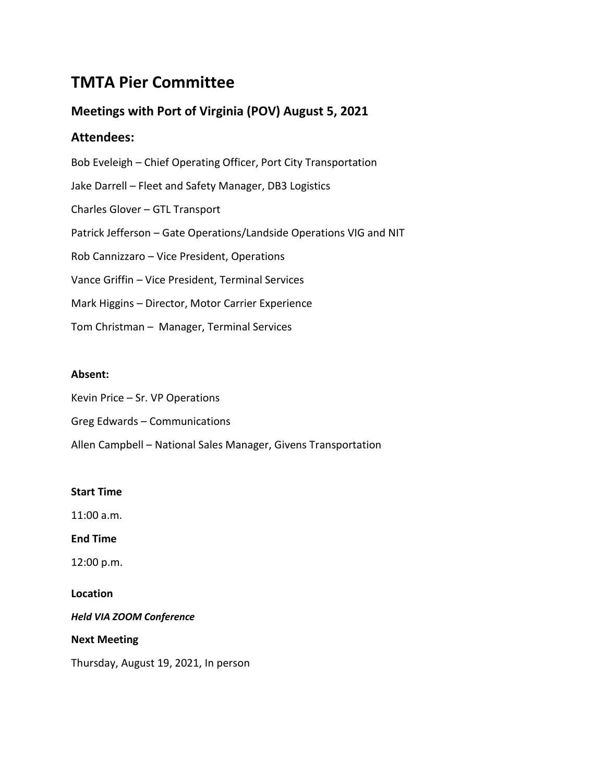# **TMTA Pier Committee**

# **Meetings with Port of Virginia (POV) August 5, 2021**

## **Attendees:**

Bob Eveleigh – Chief Operating Officer, Port City Transportation Jake Darrell – Fleet and Safety Manager, DB3 Logistics Charles Glover – GTL Transport Patrick Jefferson – Gate Operations/Landside Operations VIG and NIT Rob Cannizzaro – Vice President, Operations Vance Griffin – Vice President, Terminal Services Mark Higgins – Director, Motor Carrier Experience Tom Christman – Manager, Terminal Services

### **Absent:**

Kevin Price – Sr. VP Operations Greg Edwards – Communications

Allen Campbell – National Sales Manager, Givens Transportation

### **Start Time**

11:00 a.m.

**End Time**

12:00 p.m.

**Location**

*Held VIA ZOOM Conference*

**Next Meeting**

Thursday, August 19, 2021, In person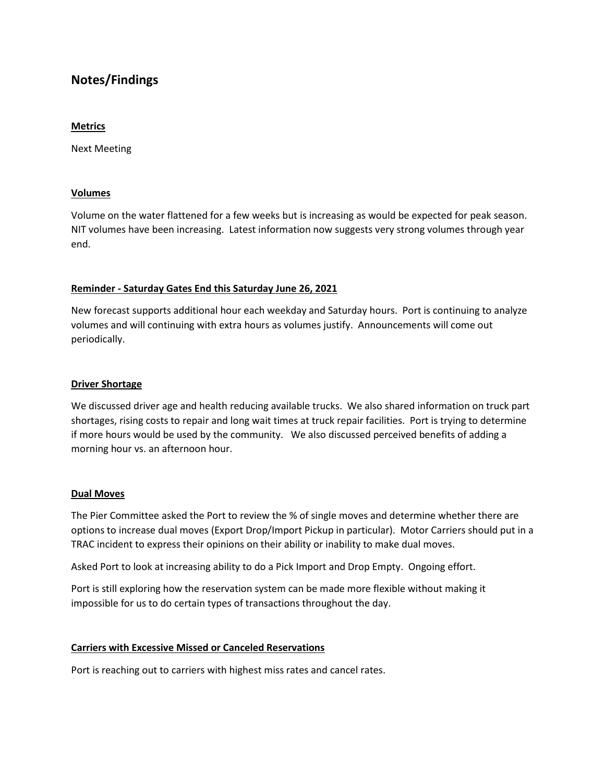## **Notes/Findings**

#### **Metrics**

Next Meeting

#### **Volumes**

Volume on the water flattened for a few weeks but is increasing as would be expected for peak season. NIT volumes have been increasing. Latest information now suggests very strong volumes through year end.

#### **Reminder - Saturday Gates End this Saturday June 26, 2021**

New forecast supports additional hour each weekday and Saturday hours. Port is continuing to analyze volumes and will continuing with extra hours as volumes justify. Announcements will come out periodically.

#### **Driver Shortage**

We discussed driver age and health reducing available trucks. We also shared information on truck part shortages, rising costs to repair and long wait times at truck repair facilities. Port is trying to determine if more hours would be used by the community. We also discussed perceived benefits of adding a morning hour vs. an afternoon hour.

#### **Dual Moves**

The Pier Committee asked the Port to review the % of single moves and determine whether there are options to increase dual moves (Export Drop/Import Pickup in particular). Motor Carriers should put in a TRAC incident to express their opinions on their ability or inability to make dual moves.

Asked Port to look at increasing ability to do a Pick Import and Drop Empty. Ongoing effort.

Port is still exploring how the reservation system can be made more flexible without making it impossible for us to do certain types of transactions throughout the day.

#### **Carriers with Excessive Missed or Canceled Reservations**

Port is reaching out to carriers with highest miss rates and cancel rates.